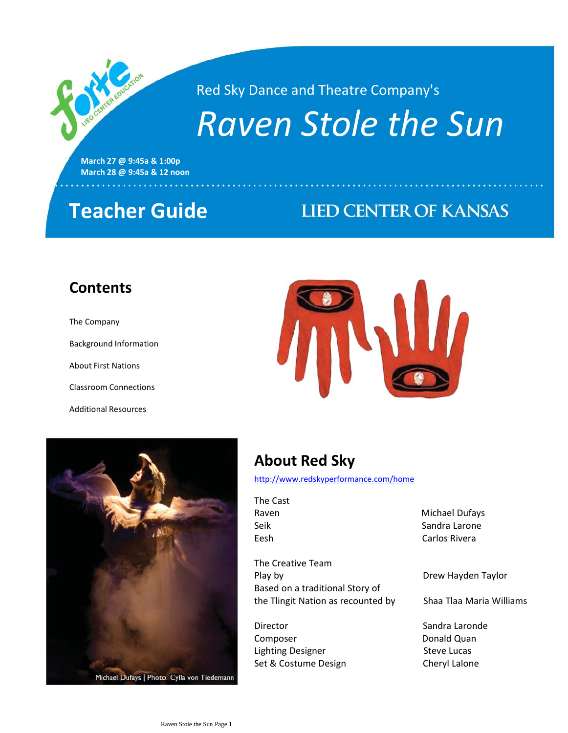Red Sky Dance and Theatre Company's

# *Raven Stole the Sun*

**March 27 @ 9:45a & 1:00p March 28 @ 9:45a & 12 noon**

# **Teacher Guide**

# **LIED CENTER OF KANSAS**

de espresa receberar espresa de

### **Contents**

### The Company

Background Information

About First Nations

Classroom Connections

Additional Resources





Michael Dufays | Photo: Cylla von Tiedemann

# **About Red Sky**

<http://www.redskyperformance.com/home>

The Cast

The Creative Team Play by Drew Hayden Taylor Based on a traditional Story of the Tlingit Nation as recounted by Shaa Tlaa Maria Williams

Director **Sandra Laronde** Composer **Donald Quan** Lighting Designer Steve Lucas Set & Costume Design Cheryl Lalone

Raven **Michael Dufays** Seik Sandra Larone Eesh Carlos Rivera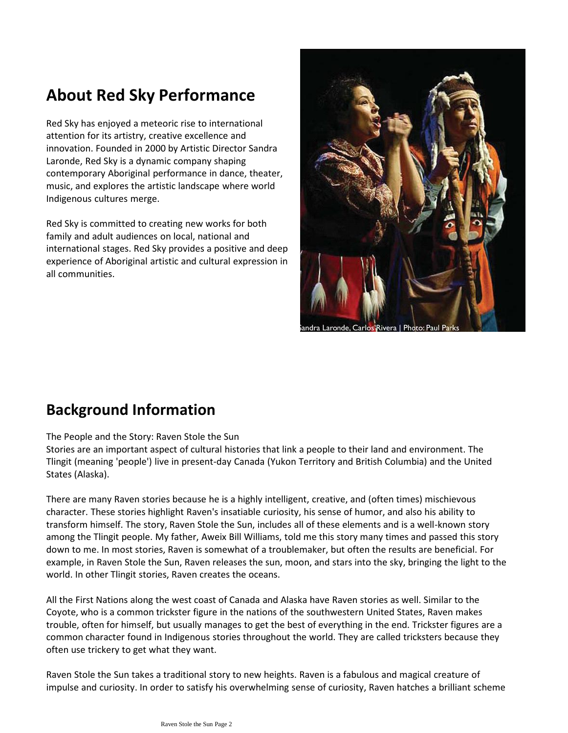# **About Red Sky Performance**

Red Sky has enjoyed a meteoric rise to international attention for its artistry, creative excellence and innovation. Founded in 2000 by Artistic Director Sandra Laronde, Red Sky is a dynamic company shaping contemporary Aboriginal performance in dance, theater, music, and explores the artistic landscape where world Indigenous cultures merge.

Red Sky is committed to creating new works for both family and adult audiences on local, national and international stages. Red Sky provides a positive and deep experience of Aboriginal artistic and cultural expression in all communities.



### **Background Information**

#### The People and the Story: Raven Stole the Sun

Stories are an important aspect of cultural histories that link a people to their land and environment. The Tlingit (meaning 'people') live in present-day Canada (Yukon Territory and British Columbia) and the United States (Alaska).

There are many Raven stories because he is a highly intelligent, creative, and (often times) mischievous character. These stories highlight Raven's insatiable curiosity, his sense of humor, and also his ability to transform himself. The story, Raven Stole the Sun, includes all of these elements and is a well-known story among the Tlingit people. My father, Aweix Bill Williams, told me this story many times and passed this story down to me. In most stories, Raven is somewhat of a troublemaker, but often the results are beneficial. For example, in Raven Stole the Sun, Raven releases the sun, moon, and stars into the sky, bringing the light to the world. In other Tlingit stories, Raven creates the oceans.

All the First Nations along the west coast of Canada and Alaska have Raven stories as well. Similar to the Coyote, who is a common trickster figure in the nations of the southwestern United States, Raven makes trouble, often for himself, but usually manages to get the best of everything in the end. Trickster figures are a common character found in Indigenous stories throughout the world. They are called tricksters because they often use trickery to get what they want.

Raven Stole the Sun takes a traditional story to new heights. Raven is a fabulous and magical creature of impulse and curiosity. In order to satisfy his overwhelming sense of curiosity, Raven hatches a brilliant scheme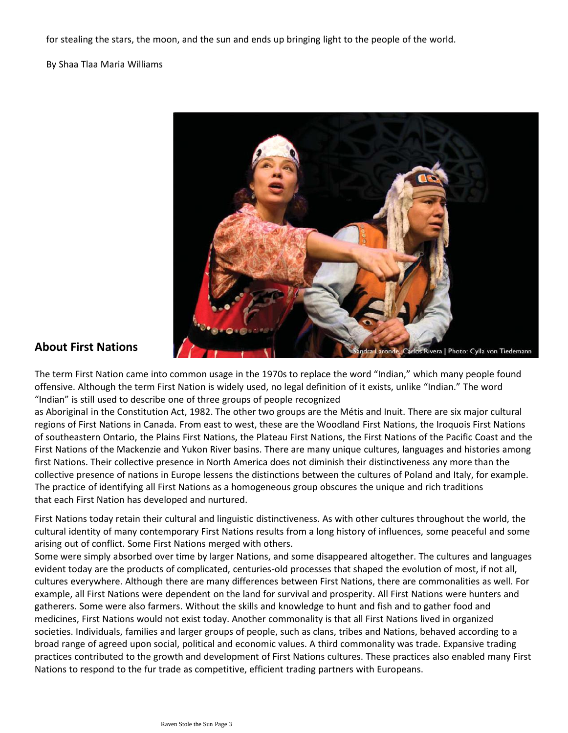for stealing the stars, the moon, and the sun and ends up bringing light to the people of the world.

By Shaa Tlaa Maria Williams



### **About First Nations**

The term First Nation came into common usage in the 1970s to replace the word "Indian," which many people found offensive. Although the term First Nation is widely used, no legal definition of it exists, unlike "Indian." The word "Indian" is still used to describe one of three groups of people recognized

as Aboriginal in the Constitution Act, 1982. The other two groups are the Métis and Inuit. There are six major cultural regions of First Nations in Canada. From east to west, these are the Woodland First Nations, the Iroquois First Nations of southeastern Ontario, the Plains First Nations, the Plateau First Nations, the First Nations of the Pacific Coast and the First Nations of the Mackenzie and Yukon River basins. There are many unique cultures, languages and histories among first Nations. Their collective presence in North America does not diminish their distinctiveness any more than the collective presence of nations in Europe lessens the distinctions between the cultures of Poland and Italy, for example. The practice of identifying all First Nations as a homogeneous group obscures the unique and rich traditions that each First Nation has developed and nurtured.

First Nations today retain their cultural and linguistic distinctiveness. As with other cultures throughout the world, the cultural identity of many contemporary First Nations results from a long history of influences, some peaceful and some arising out of conflict. Some First Nations merged with others.

Some were simply absorbed over time by larger Nations, and some disappeared altogether. The cultures and languages evident today are the products of complicated, centuries-old processes that shaped the evolution of most, if not all, cultures everywhere. Although there are many differences between First Nations, there are commonalities as well. For example, all First Nations were dependent on the land for survival and prosperity. All First Nations were hunters and gatherers. Some were also farmers. Without the skills and knowledge to hunt and fish and to gather food and medicines, First Nations would not exist today. Another commonality is that all First Nations lived in organized societies. Individuals, families and larger groups of people, such as clans, tribes and Nations, behaved according to a broad range of agreed upon social, political and economic values. A third commonality was trade. Expansive trading practices contributed to the growth and development of First Nations cultures. These practices also enabled many First Nations to respond to the fur trade as competitive, efficient trading partners with Europeans.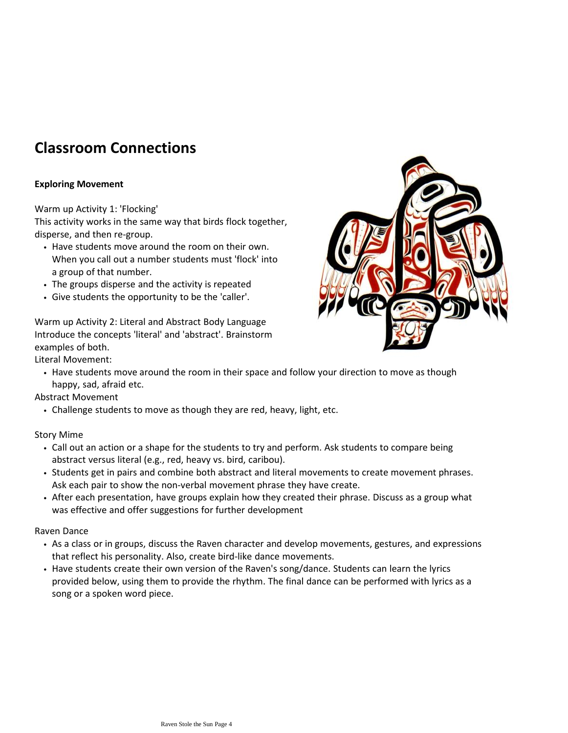# **Classroom Connections**

### **Exploring Movement**

### Warm up Activity 1: 'Flocking'

This activity works in the same way that birds flock together, disperse, and then re-group.

- Have students move around the room on their own. When you call out a number students must 'flock' into a group of that number.
- The groups disperse and the activity is repeated
- Give students the opportunity to be the 'caller'.

Warm up Activity 2: Literal and Abstract Body Language Introduce the concepts 'literal' and 'abstract'. Brainstorm examples of both.



Literal Movement:

• Have students move around the room in their space and follow your direction to move as though happy, sad, afraid etc.

Abstract Movement

• Challenge students to move as though they are red, heavy, light, etc.

### Story Mime

- Call out an action or a shape for the students to try and perform. Ask students to compare being abstract versus literal (e.g., red, heavy vs. bird, caribou).
- Students get in pairs and combine both abstract and literal movements to create movement phrases. Ask each pair to show the non-verbal movement phrase they have create.
- After each presentation, have groups explain how they created their phrase. Discuss as a group what was effective and offer suggestions for further development

Raven Dance

- As a class or in groups, discuss the Raven character and develop movements, gestures, and expressions that reflect his personality. Also, create bird-like dance movements.
- Have students create their own version of the Raven's song/dance. Students can learn the lyrics provided below, using them to provide the rhythm. The final dance can be performed with lyrics as a song or a spoken word piece.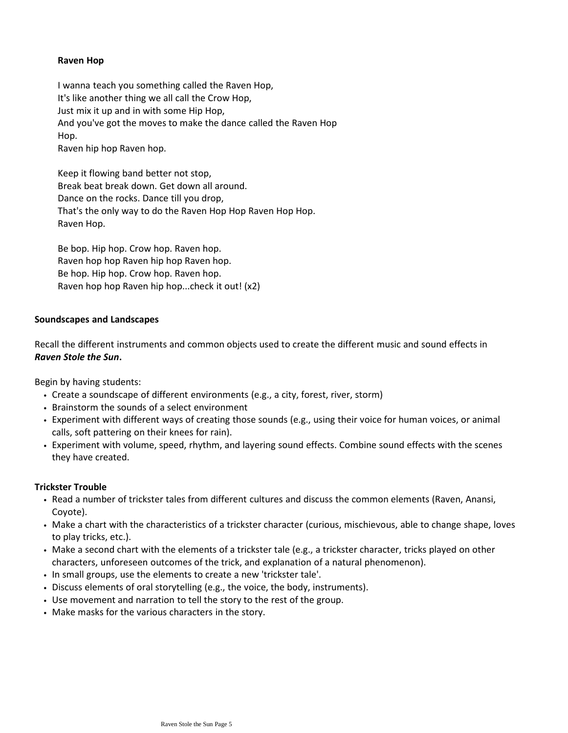### **Raven Hop**

I wanna teach you something called the Raven Hop, It's like another thing we all call the Crow Hop, Just mix it up and in with some Hip Hop, And you've got the moves to make the dance called the Raven Hop Hop. Raven hip hop Raven hop.

Keep it flowing band better not stop, Break beat break down. Get down all around. Dance on the rocks. Dance till you drop, That's the only way to do the Raven Hop Hop Raven Hop Hop. Raven Hop.

Be bop. Hip hop. Crow hop. Raven hop. Raven hop hop Raven hip hop Raven hop. Be hop. Hip hop. Crow hop. Raven hop. Raven hop hop Raven hip hop...check it out! (x2)

#### **Soundscapes and Landscapes**

Recall the different instruments and common objects used to create the different music and sound effects in *Raven Stole the Sun***.** 

Begin by having students:

- Create a soundscape of different environments (e.g., a city, forest, river, storm)
- Brainstorm the sounds of a select environment
- Experiment with different ways of creating those sounds (e.g., using their voice for human voices, or animal calls, soft pattering on their knees for rain).
- Experiment with volume, speed, rhythm, and layering sound effects. Combine sound effects with the scenes they have created.

#### **Trickster Trouble**

- Read a number of trickster tales from different cultures and discuss the common elements (Raven, Anansi, Coyote).
- Make a chart with the characteristics of a trickster character (curious, mischievous, able to change shape, loves to play tricks, etc.).
- Make a second chart with the elements of a trickster tale (e.g., a trickster character, tricks played on other characters, unforeseen outcomes of the trick, and explanation of a natural phenomenon).
- In small groups, use the elements to create a new 'trickster tale'.
- Discuss elements of oral storytelling (e.g., the voice, the body, instruments).
- Use movement and narration to tell the story to the rest of the group.
- Make masks for the various characters in the story.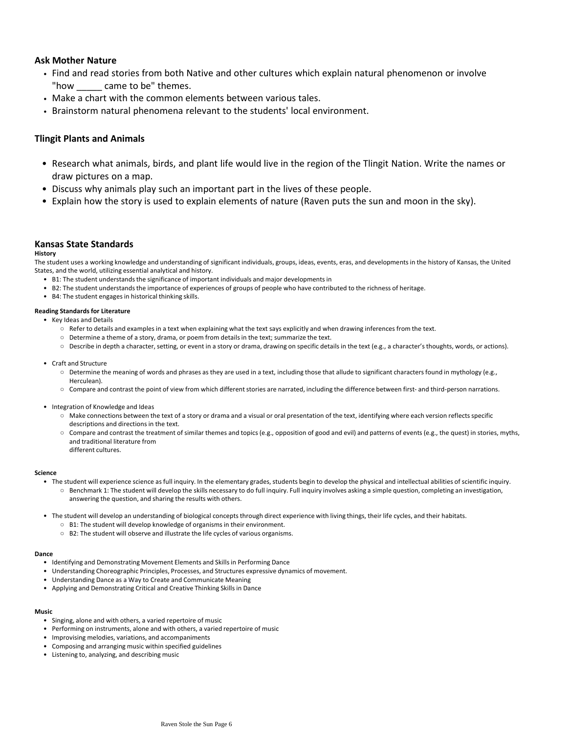#### **Ask Mother Nature**

- Find and read stories from both Native and other cultures which explain natural phenomenon or involve "how came to be" themes.
- Make a chart with the common elements between various tales.
- Brainstorm natural phenomena relevant to the students' local environment.

#### **Tlingit Plants and Animals**

- Research what animals, birds, and plant life would live in the region of the Tlingit Nation. Write the names or draw pictures on a map.
- Discuss why animals play such an important part in the lives of these people.
- Explain how the story is used to explain elements of nature (Raven puts the sun and moon in the sky).

#### **Kansas State Standards**

#### **History**

The student uses a working knowledge and understanding of significant individuals, groups, ideas, events, eras, and developments in the history of Kansas, the United States, and the world, utilizing essential analytical and history.

- B1: The student understands the significance of important individuals and major developments in
- B2: The student understands the importance of experiences of groups of people who have contributed to the richness of heritage.
- B4: The student engages in historical thinking skills.

#### **Reading Standards for Literature**

- Key Ideas and Details
	- Refer to details and examples in a text when explaining what the text says explicitly and when drawing inferences from the text.
	- Determine a theme of a story, drama, or poem from details in the text; summarize the text.
	- Describe in depth a character, setting, or event in a story or drama, drawing on specific details in the text (e.g., a character's thoughts, words, or actions).
- Craft and Structure
	- Determine the meaning of words and phrases as they are used in a text, including those that allude to significant characters found in mythology (e.g., Herculean).
	- Compare and contrast the point of view from which different stories are narrated, including the difference between first- and third-person narrations.
- Integration of Knowledge and Ideas
	- Make connections between the text of a story or drama and a visual or oral presentation of the text, identifying where each version reflects specific descriptions and directions in the text.
	- Compare and contrast the treatment of similar themes and topics (e.g., opposition of good and evil) and patterns of events (e.g., the quest) in stories, myths, and traditional literature from different cultures.

#### **Science**

- The student will experience science as full inquiry. In the elementary grades, students begin to develop the physical and intellectual abilities of scientific inquiry.
	- Benchmark 1: The student will develop the skills necessary to do full inquiry. Full inquiry involves asking a simple question, completing an investigation, answering the question, and sharing the results with others.
- The student will develop an understanding of biological concepts through direct experience with living things, their life cycles, and their habitats.
	- B1: The student will develop knowledge of organisms in their environment.
	- B2: The student will observe and illustrate the life cycles of various organisms.

#### **Dance**

- Identifying and Demonstrating Movement Elements and Skills in Performing Dance
- Understanding Choreographic Principles, Processes, and Structures expressive dynamics of movement.
- Understanding Dance as a Way to Create and Communicate Meaning
- Applying and Demonstrating Critical and Creative Thinking Skills in Dance

#### **Music**

- Singing, alone and with others, a varied repertoire of music
- Performing on instruments, alone and with others, a varied repertoire of music
- Improvising melodies, variations, and accompaniments
- Composing and arranging music within specified guidelines
- Listening to, analyzing, and describing music